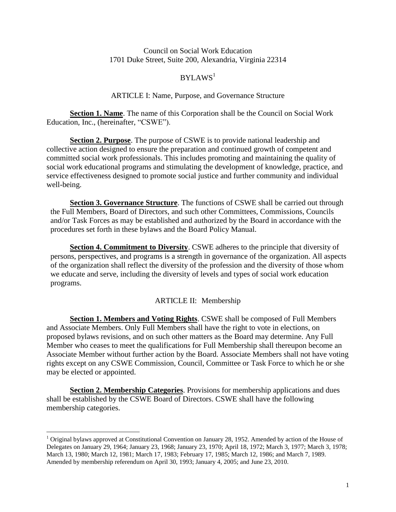### Council on Social Work Education 1701 Duke Street, Suite 200, Alexandria, Virginia 22314

# $BYLAWS<sup>1</sup>$

### ARTICLE I: Name, Purpose, and Governance Structure

**Section 1. Name**. The name of this Corporation shall be the Council on Social Work Education, Inc., (hereinafter, "CSWE").

**Section 2. Purpose**. The purpose of CSWE is to provide national leadership and collective action designed to ensure the preparation and continued growth of competent and committed social work professionals. This includes promoting and maintaining the quality of social work educational programs and stimulating the development of knowledge, practice, and service effectiveness designed to promote social justice and further community and individual well-being.

**Section 3. Governance Structure**. The functions of CSWE shall be carried out through the Full Members, Board of Directors, and such other Committees, Commissions, Councils and/or Task Forces as may be established and authorized by the Board in accordance with the procedures set forth in these bylaws and the Board Policy Manual.

**Section 4. Commitment to Diversity**. CSWE adheres to the principle that diversity of persons, perspectives, and programs is a strength in governance of the organization. All aspects of the organization shall reflect the diversity of the profession and the diversity of those whom we educate and serve, including the diversity of levels and types of social work education programs.

### ARTICLE II: Membership

**Section 1. Members and Voting Rights**. CSWE shall be composed of Full Members and Associate Members. Only Full Members shall have the right to vote in elections, on proposed bylaws revisions, and on such other matters as the Board may determine. Any Full Member who ceases to meet the qualifications for Full Membership shall thereupon become an Associate Member without further action by the Board. Associate Members shall not have voting rights except on any CSWE Commission, Council, Committee or Task Force to which he or she may be elected or appointed.

**Section 2. Membership Categories**. Provisions for membership applications and dues shall be established by the CSWE Board of Directors. CSWE shall have the following membership categories.

 $\overline{a}$ 

<sup>&</sup>lt;sup>1</sup> Original bylaws approved at Constitutional Convention on January 28, 1952. Amended by action of the House of Delegates on January 29, 1964; January 23, 1968; January 23, 1970; April 18, 1972; March 3, 1977; March 3, 1978; March 13, 1980; March 12, 1981; March 17, 1983; February 17, 1985; March 12, 1986; and March 7, 1989. Amended by membership referendum on April 30, 1993; January 4, 2005; and June 23, 2010.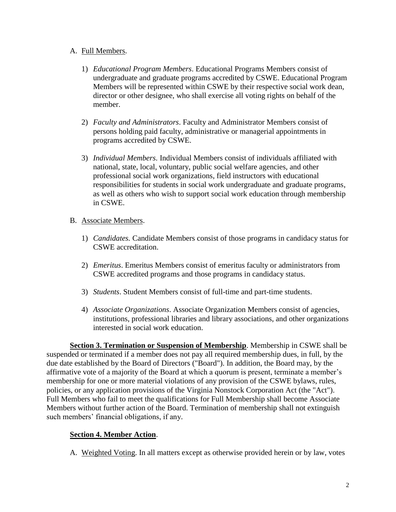## A. Full Members.

- 1) *Educational Program Members*. Educational Programs Members consist of undergraduate and graduate programs accredited by CSWE. Educational Program Members will be represented within CSWE by their respective social work dean, director or other designee, who shall exercise all voting rights on behalf of the member.
- 2) *Faculty and Administrators*. Faculty and Administrator Members consist of persons holding paid faculty, administrative or managerial appointments in programs accredited by CSWE.
- 3) *Individual Members*. Individual Members consist of individuals affiliated with national, state, local, voluntary, public social welfare agencies, and other professional social work organizations, field instructors with educational responsibilities for students in social work undergraduate and graduate programs, as well as others who wish to support social work education through membership in CSWE.
- B. Associate Members.
	- 1) *Candidates.* Candidate Members consist of those programs in candidacy status for CSWE accreditation.
	- 2) *Emeritus*. Emeritus Members consist of emeritus faculty or administrators from CSWE accredited programs and those programs in candidacy status.
	- 3) *Students*. Student Members consist of full-time and part-time students.
	- 4) *Associate Organizations*. Associate Organization Members consist of agencies, institutions, professional libraries and library associations, and other organizations interested in social work education.

**Section 3. Termination or Suspension of Membership**. Membership in CSWE shall be suspended or terminated if a member does not pay all required membership dues, in full, by the due date established by the Board of Directors ("Board"). In addition, the Board may, by the affirmative vote of a majority of the Board at which a quorum is present, terminate a member's membership for one or more material violations of any provision of the CSWE bylaws, rules, policies, or any application provisions of the Virginia Nonstock Corporation Act (the "Act"). Full Members who fail to meet the qualifications for Full Membership shall become Associate Members without further action of the Board. Termination of membership shall not extinguish such members' financial obligations, if any.

# **Section 4. Member Action**.

A. Weighted Voting. In all matters except as otherwise provided herein or by law, votes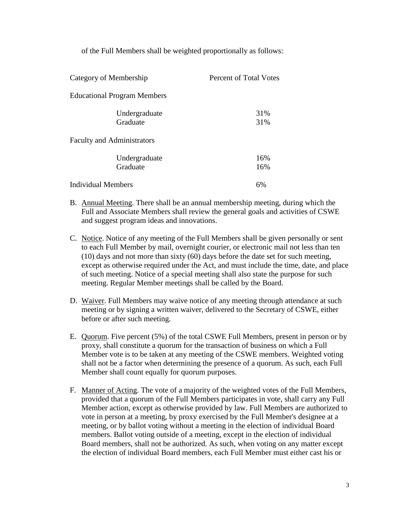of the Full Members shall be weighted proportionally as follows:

| Category of Membership             | <b>Percent of Total Votes</b> |
|------------------------------------|-------------------------------|
| <b>Educational Program Members</b> |                               |
| Undergraduate<br>Graduate          | 31%<br>31%                    |
| <b>Faculty and Administrators</b>  |                               |
| Undergraduate<br>Graduate          | 16%<br>16%                    |
| Individual Members                 | 6%                            |

- B. Annual Meeting. There shall be an annual membership meeting, during which the Full and Associate Members shall review the general goals and activities of CSWE and suggest program ideas and innovations.
- C. Notice. Notice of any meeting of the Full Members shall be given personally or sent to each Full Member by mail, overnight courier, or electronic mail not less than ten (10) days and not more than sixty (60) days before the date set for such meeting, except as otherwise required under the Act, and must include the time, date, and place of such meeting. Notice of a special meeting shall also state the purpose for such meeting. Regular Member meetings shall be called by the Board.
- D. Waiver. Full Members may waive notice of any meeting through attendance at such meeting or by signing a written waiver, delivered to the Secretary of CSWE, either before or after such meeting.
- E. Quorum. Five percent (5%) of the total CSWE Full Members, present in person or by proxy, shall constitute a quorum for the transaction of business on which a Full Member vote is to be taken at any meeting of the CSWE members. Weighted voting shall not be a factor when determining the presence of a quorum. As such, each Full Member shall count equally for quorum purposes.
- F. Manner of Acting. The vote of a majority of the weighted votes of the Full Members, provided that a quorum of the Full Members participates in vote, shall carry any Full Member action, except as otherwise provided by law. Full Members are authorized to vote in person at a meeting, by proxy exercised by the Full Member's designee at a meeting, or by ballot voting without a meeting in the election of individual Board members. Ballot voting outside of a meeting, except in the election of individual Board members, shall not be authorized. As such, when voting on any matter except the election of individual Board members, each Full Member must either cast his or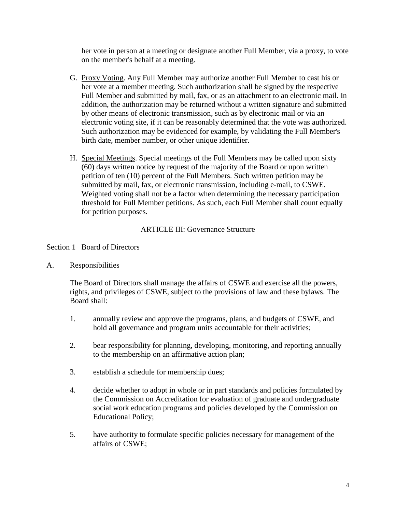her vote in person at a meeting or designate another Full Member, via a proxy, to vote on the member's behalf at a meeting.

- G. Proxy Voting. Any Full Member may authorize another Full Member to cast his or her vote at a member meeting. Such authorization shall be signed by the respective Full Member and submitted by mail, fax, or as an attachment to an electronic mail. In addition, the authorization may be returned without a written signature and submitted by other means of electronic transmission, such as by electronic mail or via an electronic voting site, if it can be reasonably determined that the vote was authorized. Such authorization may be evidenced for example, by validating the Full Member's birth date, member number, or other unique identifier.
- H. Special Meetings. Special meetings of the Full Members may be called upon sixty (60) days written notice by request of the majority of the Board or upon written petition of ten (10) percent of the Full Members. Such written petition may be submitted by mail, fax, or electronic transmission, including e-mail, to CSWE. Weighted voting shall not be a factor when determining the necessary participation threshold for Full Member petitions. As such, each Full Member shall count equally for petition purposes.

## ARTICLE III: Governance Structure

## Section 1 Board of Directors

A. Responsibilities

The Board of Directors shall manage the affairs of CSWE and exercise all the powers, rights, and privileges of CSWE, subject to the provisions of law and these bylaws. The Board shall:

- 1. annually review and approve the programs, plans, and budgets of CSWE, and hold all governance and program units accountable for their activities;
- 2. bear responsibility for planning, developing, monitoring, and reporting annually to the membership on an affirmative action plan;
- 3. establish a schedule for membership dues;
- 4. decide whether to adopt in whole or in part standards and policies formulated by the Commission on Accreditation for evaluation of graduate and undergraduate social work education programs and policies developed by the Commission on Educational Policy;
- 5. have authority to formulate specific policies necessary for management of the affairs of CSWE;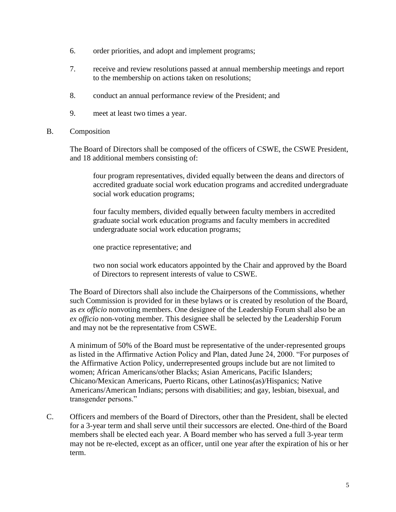- 6. order priorities, and adopt and implement programs;
- 7. receive and review resolutions passed at annual membership meetings and report to the membership on actions taken on resolutions;
- 8. conduct an annual performance review of the President; and
- 9. meet at least two times a year.
- B. Composition

The Board of Directors shall be composed of the officers of CSWE, the CSWE President, and 18 additional members consisting of:

four program representatives, divided equally between the deans and directors of accredited graduate social work education programs and accredited undergraduate social work education programs;

four faculty members, divided equally between faculty members in accredited graduate social work education programs and faculty members in accredited undergraduate social work education programs;

one practice representative; and

two non social work educators appointed by the Chair and approved by the Board of Directors to represent interests of value to CSWE.

The Board of Directors shall also include the Chairpersons of the Commissions, whether such Commission is provided for in these bylaws or is created by resolution of the Board, as *ex officio* nonvoting members. One designee of the Leadership Forum shall also be an *ex officio* non-voting member. This designee shall be selected by the Leadership Forum and may not be the representative from CSWE.

A minimum of 50% of the Board must be representative of the under-represented groups as listed in the Affirmative Action Policy and Plan, dated June 24, 2000. "For purposes of the Affirmative Action Policy, underrepresented groups include but are not limited to women; African Americans/other Blacks; Asian Americans, Pacific Islanders; Chicano/Mexican Americans, Puerto Ricans, other Latinos(as)/Hispanics; Native Americans/American Indians; persons with disabilities; and gay, lesbian, bisexual, and transgender persons."

C. Officers and members of the Board of Directors, other than the President, shall be elected for a 3-year term and shall serve until their successors are elected. One-third of the Board members shall be elected each year. A Board member who has served a full 3-year term may not be re-elected, except as an officer, until one year after the expiration of his or her term.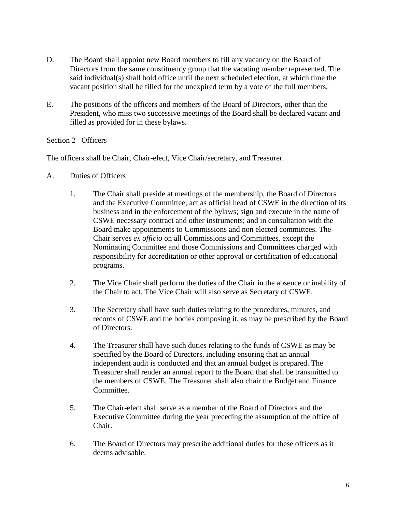- D. The Board shall appoint new Board members to fill any vacancy on the Board of Directors from the same constituency group that the vacating member represented. The said individual(s) shall hold office until the next scheduled election, at which time the vacant position shall be filled for the unexpired term by a vote of the full members.
- E. The positions of the officers and members of the Board of Directors, other than the President, who miss two successive meetings of the Board shall be declared vacant and filled as provided for in these bylaws.

# Section 2 Officers

The officers shall be Chair, Chair-elect, Vice Chair/secretary, and Treasurer.

- A. Duties of Officers
	- 1. The Chair shall preside at meetings of the membership, the Board of Directors and the Executive Committee; act as official head of CSWE in the direction of its business and in the enforcement of the bylaws; sign and execute in the name of CSWE necessary contract and other instruments; and in consultation with the Board make appointments to Commissions and non elected committees. The Chair serves *ex officio* on all Commissions and Committees, except the Nominating Committee and those Commissions and Committees charged with responsibility for accreditation or other approval or certification of educational programs.
	- 2. The Vice Chair shall perform the duties of the Chair in the absence or inability of the Chair to act. The Vice Chair will also serve as Secretary of CSWE.
	- 3. The Secretary shall have such duties relating to the procedures, minutes, and records of CSWE and the bodies composing it, as may be prescribed by the Board of Directors.
	- 4. The Treasurer shall have such duties relating to the funds of CSWE as may be specified by the Board of Directors, including ensuring that an annual independent audit is conducted and that an annual budget is prepared. The Treasurer shall render an annual report to the Board that shall be transmitted to the members of CSWE. The Treasurer shall also chair the Budget and Finance Committee.
	- 5. The Chair-elect shall serve as a member of the Board of Directors and the Executive Committee during the year preceding the assumption of the office of Chair.
	- 6. The Board of Directors may prescribe additional duties for these officers as it deems advisable.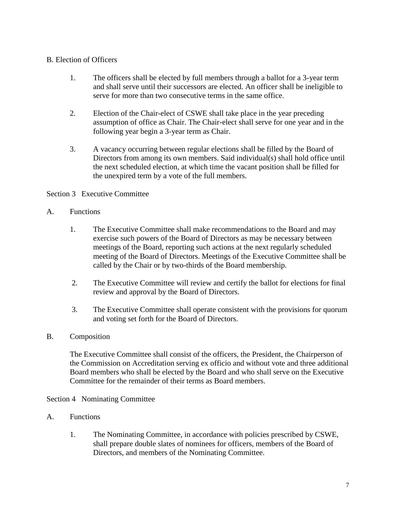# B. Election of Officers

- 1. The officers shall be elected by full members through a ballot for a 3-year term and shall serve until their successors are elected. An officer shall be ineligible to serve for more than two consecutive terms in the same office.
- 2. Election of the Chair-elect of CSWE shall take place in the year preceding assumption of office as Chair. The Chair-elect shall serve for one year and in the following year begin a 3-year term as Chair.
- 3. A vacancy occurring between regular elections shall be filled by the Board of Directors from among its own members. Said individual(s) shall hold office until the next scheduled election, at which time the vacant position shall be filled for the unexpired term by a vote of the full members.

## Section 3 Executive Committee

## A. Functions

- 1. The Executive Committee shall make recommendations to the Board and may exercise such powers of the Board of Directors as may be necessary between meetings of the Board, reporting such actions at the next regularly scheduled meeting of the Board of Directors. Meetings of the Executive Committee shall be called by the Chair or by two-thirds of the Board membership.
- 2. The Executive Committee will review and certify the ballot for elections for final review and approval by the Board of Directors.
- 3. The Executive Committee shall operate consistent with the provisions for quorum and voting set forth for the Board of Directors.

### B. Composition

The Executive Committee shall consist of the officers, the President, the Chairperson of the Commission on Accreditation serving ex officio and without vote and three additional Board members who shall be elected by the Board and who shall serve on the Executive Committee for the remainder of their terms as Board members.

### Section 4 Nominating Committee

### A. Functions

1. The Nominating Committee, in accordance with policies prescribed by CSWE, shall prepare double slates of nominees for officers, members of the Board of Directors, and members of the Nominating Committee.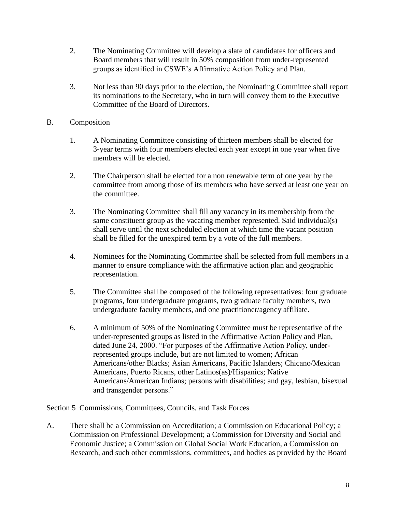- 2. The Nominating Committee will develop a slate of candidates for officers and Board members that will result in 50% composition from under-represented groups as identified in CSWE's Affirmative Action Policy and Plan.
- 3. Not less than 90 days prior to the election, the Nominating Committee shall report its nominations to the Secretary, who in turn will convey them to the Executive Committee of the Board of Directors.
- B. Composition
	- 1. A Nominating Committee consisting of thirteen members shall be elected for 3-year terms with four members elected each year except in one year when five members will be elected.
	- 2. The Chairperson shall be elected for a non renewable term of one year by the committee from among those of its members who have served at least one year on the committee.
	- 3. The Nominating Committee shall fill any vacancy in its membership from the same constituent group as the vacating member represented. Said individual(s) shall serve until the next scheduled election at which time the vacant position shall be filled for the unexpired term by a vote of the full members.
	- 4. Nominees for the Nominating Committee shall be selected from full members in a manner to ensure compliance with the affirmative action plan and geographic representation.
	- 5. The Committee shall be composed of the following representatives: four graduate programs, four undergraduate programs, two graduate faculty members, two undergraduate faculty members, and one practitioner/agency affiliate.
	- 6. A minimum of 50% of the Nominating Committee must be representative of the under-represented groups as listed in the Affirmative Action Policy and Plan, dated June 24, 2000. "For purposes of the Affirmative Action Policy, underrepresented groups include, but are not limited to women; African Americans/other Blacks; Asian Americans, Pacific Islanders; Chicano/Mexican Americans, Puerto Ricans, other Latinos(as)/Hispanics; Native Americans/American Indians; persons with disabilities; and gay, lesbian, bisexual and transgender persons."

Section 5 Commissions, Committees, Councils, and Task Forces

A. There shall be a Commission on Accreditation; a Commission on Educational Policy; a Commission on Professional Development; a Commission for Diversity and Social and Economic Justice; a Commission on Global Social Work Education, a Commission on Research, and such other commissions, committees, and bodies as provided by the Board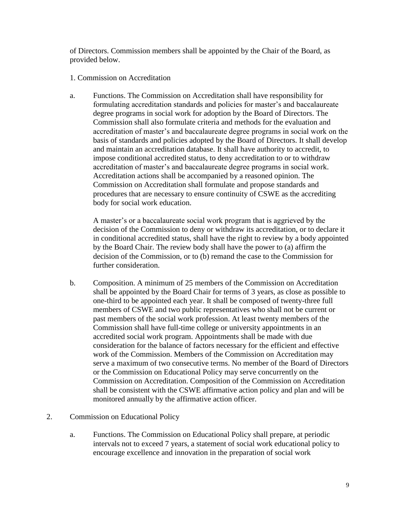of Directors. Commission members shall be appointed by the Chair of the Board, as provided below.

### 1. Commission on Accreditation

a. Functions. The Commission on Accreditation shall have responsibility for formulating accreditation standards and policies for master's and baccalaureate degree programs in social work for adoption by the Board of Directors. The Commission shall also formulate criteria and methods for the evaluation and accreditation of master's and baccalaureate degree programs in social work on the basis of standards and policies adopted by the Board of Directors. It shall develop and maintain an accreditation database. It shall have authority to accredit, to impose conditional accredited status, to deny accreditation to or to withdraw accreditation of master's and baccalaureate degree programs in social work. Accreditation actions shall be accompanied by a reasoned opinion. The Commission on Accreditation shall formulate and propose standards and procedures that are necessary to ensure continuity of CSWE as the accrediting body for social work education.

A master's or a baccalaureate social work program that is aggrieved by the decision of the Commission to deny or withdraw its accreditation, or to declare it in conditional accredited status, shall have the right to review by a body appointed by the Board Chair. The review body shall have the power to (a) affirm the decision of the Commission, or to (b) remand the case to the Commission for further consideration.

- b. Composition. A minimum of 25 members of the Commission on Accreditation shall be appointed by the Board Chair for terms of 3 years, as close as possible to one-third to be appointed each year. It shall be composed of twenty-three full members of CSWE and two public representatives who shall not be current or past members of the social work profession. At least twenty members of the Commission shall have full-time college or university appointments in an accredited social work program. Appointments shall be made with due consideration for the balance of factors necessary for the efficient and effective work of the Commission. Members of the Commission on Accreditation may serve a maximum of two consecutive terms. No member of the Board of Directors or the Commission on Educational Policy may serve concurrently on the Commission on Accreditation. Composition of the Commission on Accreditation shall be consistent with the CSWE affirmative action policy and plan and will be monitored annually by the affirmative action officer.
- 2. Commission on Educational Policy
	- a. Functions. The Commission on Educational Policy shall prepare, at periodic intervals not to exceed 7 years, a statement of social work educational policy to encourage excellence and innovation in the preparation of social work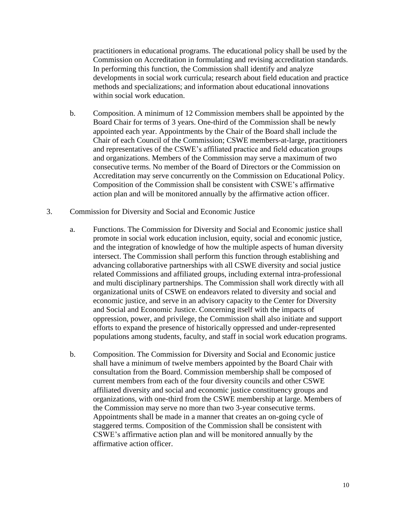practitioners in educational programs. The educational policy shall be used by the Commission on Accreditation in formulating and revising accreditation standards. In performing this function, the Commission shall identify and analyze developments in social work curricula; research about field education and practice methods and specializations; and information about educational innovations within social work education.

- b. Composition. A minimum of 12 Commission members shall be appointed by the Board Chair for terms of 3 years. One-third of the Commission shall be newly appointed each year. Appointments by the Chair of the Board shall include the Chair of each Council of the Commission; CSWE members-at-large, practitioners and representatives of the CSWE's affiliated practice and field education groups and organizations. Members of the Commission may serve a maximum of two consecutive terms. No member of the Board of Directors or the Commission on Accreditation may serve concurrently on the Commission on Educational Policy. Composition of the Commission shall be consistent with CSWE's affirmative action plan and will be monitored annually by the affirmative action officer.
- 3. Commission for Diversity and Social and Economic Justice
	- a. Functions. The Commission for Diversity and Social and Economic justice shall promote in social work education inclusion, equity, social and economic justice, and the integration of knowledge of how the multiple aspects of human diversity intersect. The Commission shall perform this function through establishing and advancing collaborative partnerships with all CSWE diversity and social justice related Commissions and affiliated groups, including external intra-professional and multi disciplinary partnerships. The Commission shall work directly with all organizational units of CSWE on endeavors related to diversity and social and economic justice, and serve in an advisory capacity to the Center for Diversity and Social and Economic Justice. Concerning itself with the impacts of oppression, power, and privilege, the Commission shall also initiate and support efforts to expand the presence of historically oppressed and under-represented populations among students, faculty, and staff in social work education programs.
	- b. Composition. The Commission for Diversity and Social and Economic justice shall have a minimum of twelve members appointed by the Board Chair with consultation from the Board. Commission membership shall be composed of current members from each of the four diversity councils and other CSWE affiliated diversity and social and economic justice constituency groups and organizations, with one-third from the CSWE membership at large. Members of the Commission may serve no more than two 3-year consecutive terms. Appointments shall be made in a manner that creates an on-going cycle of staggered terms. Composition of the Commission shall be consistent with CSWE's affirmative action plan and will be monitored annually by the affirmative action officer.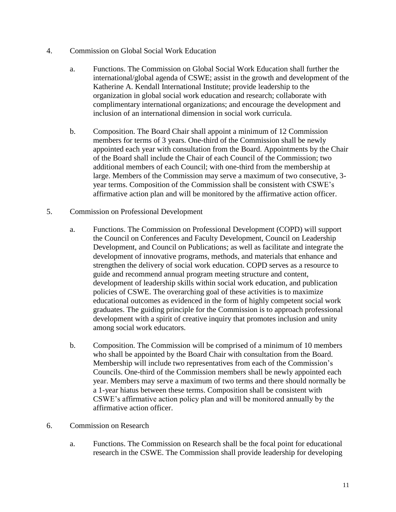- 4. Commission on Global Social Work Education
	- a. Functions. The Commission on Global Social Work Education shall further the international/global agenda of CSWE; assist in the growth and development of the Katherine A. Kendall International Institute; provide leadership to the organization in global social work education and research; collaborate with complimentary international organizations; and encourage the development and inclusion of an international dimension in social work curricula.
	- b. Composition. The Board Chair shall appoint a minimum of 12 Commission members for terms of 3 years. One-third of the Commission shall be newly appointed each year with consultation from the Board. Appointments by the Chair of the Board shall include the Chair of each Council of the Commission; two additional members of each Council; with one-third from the membership at large. Members of the Commission may serve a maximum of two consecutive, 3 year terms. Composition of the Commission shall be consistent with CSWE's affirmative action plan and will be monitored by the affirmative action officer.
- 5. Commission on Professional Development
	- a. Functions. The Commission on Professional Development (COPD) will support the Council on Conferences and Faculty Development, Council on Leadership Development, and Council on Publications; as well as facilitate and integrate the development of innovative programs, methods, and materials that enhance and strengthen the delivery of social work education. COPD serves as a resource to guide and recommend annual program meeting structure and content, development of leadership skills within social work education, and publication policies of CSWE. The overarching goal of these activities is to maximize educational outcomes as evidenced in the form of highly competent social work graduates. The guiding principle for the Commission is to approach professional development with a spirit of creative inquiry that promotes inclusion and unity among social work educators.
	- b. Composition. The Commission will be comprised of a minimum of 10 members who shall be appointed by the Board Chair with consultation from the Board. Membership will include two representatives from each of the Commission's Councils. One-third of the Commission members shall be newly appointed each year. Members may serve a maximum of two terms and there should normally be a 1-year hiatus between these terms. Composition shall be consistent with CSWE's affirmative action policy plan and will be monitored annually by the affirmative action officer.
- 6. Commission on Research
	- a. Functions. The Commission on Research shall be the focal point for educational research in the CSWE. The Commission shall provide leadership for developing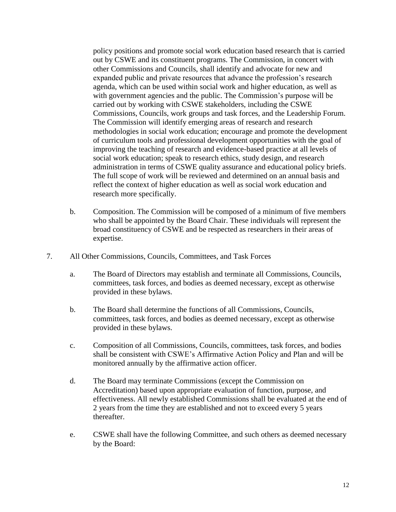policy positions and promote social work education based research that is carried out by CSWE and its constituent programs. The Commission, in concert with other Commissions and Councils, shall identify and advocate for new and expanded public and private resources that advance the profession's research agenda, which can be used within social work and higher education, as well as with government agencies and the public. The Commission's purpose will be carried out by working with CSWE stakeholders, including the CSWE Commissions, Councils, work groups and task forces, and the Leadership Forum. The Commission will identify emerging areas of research and research methodologies in social work education; encourage and promote the development of curriculum tools and professional development opportunities with the goal of improving the teaching of research and evidence-based practice at all levels of social work education; speak to research ethics, study design, and research administration in terms of CSWE quality assurance and educational policy briefs. The full scope of work will be reviewed and determined on an annual basis and reflect the context of higher education as well as social work education and research more specifically.

- b. Composition. The Commission will be composed of a minimum of five members who shall be appointed by the Board Chair. These individuals will represent the broad constituency of CSWE and be respected as researchers in their areas of expertise.
- 7. All Other Commissions, Councils, Committees, and Task Forces
	- a. The Board of Directors may establish and terminate all Commissions, Councils, committees, task forces, and bodies as deemed necessary, except as otherwise provided in these bylaws.
	- b. The Board shall determine the functions of all Commissions, Councils, committees, task forces, and bodies as deemed necessary, except as otherwise provided in these bylaws.
	- c. Composition of all Commissions, Councils, committees, task forces, and bodies shall be consistent with CSWE's Affirmative Action Policy and Plan and will be monitored annually by the affirmative action officer.
	- d. The Board may terminate Commissions (except the Commission on Accreditation) based upon appropriate evaluation of function, purpose, and effectiveness. All newly established Commissions shall be evaluated at the end of 2 years from the time they are established and not to exceed every 5 years thereafter.
	- e. CSWE shall have the following Committee, and such others as deemed necessary by the Board: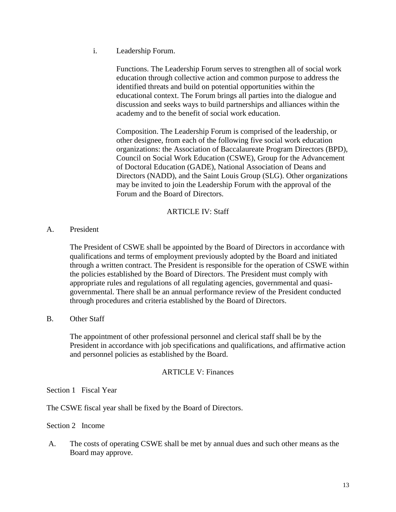i. Leadership Forum.

Functions. The Leadership Forum serves to strengthen all of social work education through collective action and common purpose to address the identified threats and build on potential opportunities within the educational context. The Forum brings all parties into the dialogue and discussion and seeks ways to build partnerships and alliances within the academy and to the benefit of social work education.

Composition. The Leadership Forum is comprised of the leadership, or other designee, from each of the following five social work education organizations: the Association of Baccalaureate Program Directors (BPD), Council on Social Work Education (CSWE), Group for the Advancement of Doctoral Education (GADE), National Association of Deans and Directors (NADD), and the Saint Louis Group (SLG). Other organizations may be invited to join the Leadership Forum with the approval of the Forum and the Board of Directors.

## ARTICLE IV: Staff

A. President

The President of CSWE shall be appointed by the Board of Directors in accordance with qualifications and terms of employment previously adopted by the Board and initiated through a written contract. The President is responsible for the operation of CSWE within the policies established by the Board of Directors. The President must comply with appropriate rules and regulations of all regulating agencies, governmental and quasigovernmental. There shall be an annual performance review of the President conducted through procedures and criteria established by the Board of Directors.

B. Other Staff

The appointment of other professional personnel and clerical staff shall be by the President in accordance with job specifications and qualifications, and affirmative action and personnel policies as established by the Board.

### ARTICLE V: Finances

Section 1 Fiscal Year

The CSWE fiscal year shall be fixed by the Board of Directors.

Section 2 Income

A. The costs of operating CSWE shall be met by annual dues and such other means as the Board may approve.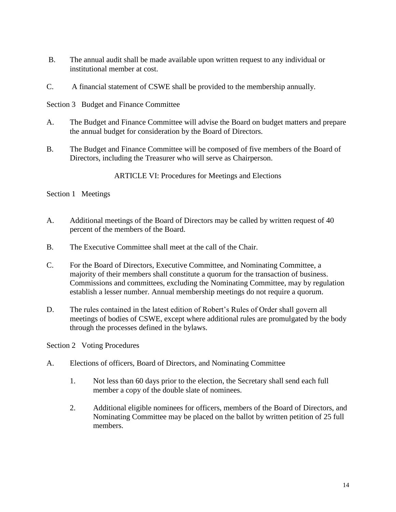- B. The annual audit shall be made available upon written request to any individual or institutional member at cost.
- C. A financial statement of CSWE shall be provided to the membership annually.

Section 3 Budget and Finance Committee

- A. The Budget and Finance Committee will advise the Board on budget matters and prepare the annual budget for consideration by the Board of Directors.
- B. The Budget and Finance Committee will be composed of five members of the Board of Directors, including the Treasurer who will serve as Chairperson.

ARTICLE VI: Procedures for Meetings and Elections

Section 1 Meetings

- A. Additional meetings of the Board of Directors may be called by written request of 40 percent of the members of the Board.
- B. The Executive Committee shall meet at the call of the Chair.
- C. For the Board of Directors, Executive Committee, and Nominating Committee, a majority of their members shall constitute a quorum for the transaction of business. Commissions and committees, excluding the Nominating Committee, may by regulation establish a lesser number. Annual membership meetings do not require a quorum.
- D. The rules contained in the latest edition of Robert's Rules of Order shall govern all meetings of bodies of CSWE, except where additional rules are promulgated by the body through the processes defined in the bylaws.

Section 2 Voting Procedures

- A. Elections of officers, Board of Directors, and Nominating Committee
	- 1. Not less than 60 days prior to the election, the Secretary shall send each full member a copy of the double slate of nominees.
	- 2. Additional eligible nominees for officers, members of the Board of Directors, and Nominating Committee may be placed on the ballot by written petition of 25 full members.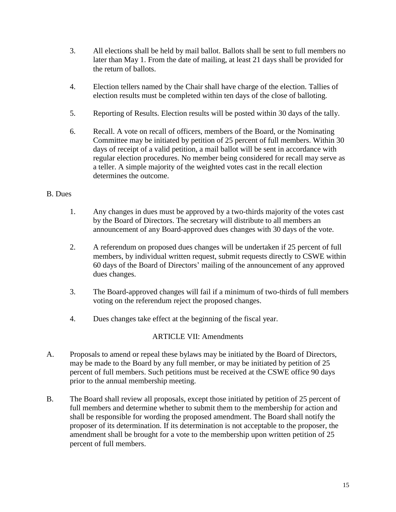- 3. All elections shall be held by mail ballot. Ballots shall be sent to full members no later than May 1. From the date of mailing, at least 21 days shall be provided for the return of ballots.
- 4. Election tellers named by the Chair shall have charge of the election. Tallies of election results must be completed within ten days of the close of balloting.
- 5. Reporting of Results. Election results will be posted within 30 days of the tally.
- 6. Recall. A vote on recall of officers, members of the Board, or the Nominating Committee may be initiated by petition of 25 percent of full members. Within 30 days of receipt of a valid petition, a mail ballot will be sent in accordance with regular election procedures. No member being considered for recall may serve as a teller. A simple majority of the weighted votes cast in the recall election determines the outcome.

# B. Dues

- 1. Any changes in dues must be approved by a two-thirds majority of the votes cast by the Board of Directors. The secretary will distribute to all members an announcement of any Board-approved dues changes with 30 days of the vote.
- 2. A referendum on proposed dues changes will be undertaken if 25 percent of full members, by individual written request, submit requests directly to CSWE within 60 days of the Board of Directors' mailing of the announcement of any approved dues changes.
- 3. The Board-approved changes will fail if a minimum of two-thirds of full members voting on the referendum reject the proposed changes.
- 4. Dues changes take effect at the beginning of the fiscal year.

# ARTICLE VII: Amendments

- A. Proposals to amend or repeal these bylaws may be initiated by the Board of Directors, may be made to the Board by any full member, or may be initiated by petition of 25 percent of full members. Such petitions must be received at the CSWE office 90 days prior to the annual membership meeting.
- B. The Board shall review all proposals, except those initiated by petition of 25 percent of full members and determine whether to submit them to the membership for action and shall be responsible for wording the proposed amendment. The Board shall notify the proposer of its determination. If its determination is not acceptable to the proposer, the amendment shall be brought for a vote to the membership upon written petition of 25 percent of full members.